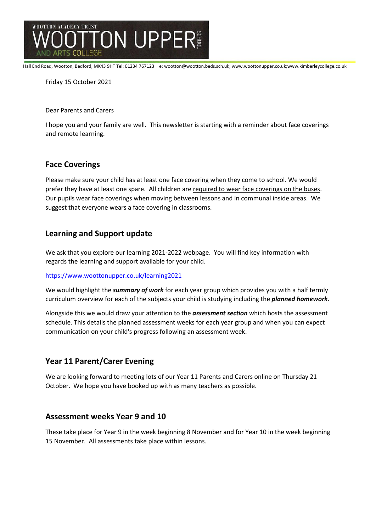

Hall End Road, Wootton, Bedford, MK43 9HT Tel: 01234 767123 e: wootton@wootton.beds.sch.uk; www.woottonupper.co.uk;www.kimberleycollege.co.uk

Friday 15 October 2021

Dear Parents and Carers

I hope you and your family are well. This newsletter is starting with a reminder about face coverings and remote learning.

## **Face Coverings**

Please make sure your child has at least one face covering when they come to school. We would prefer they have at least one spare. All children are required to wear face coverings on the buses. Our pupils wear face coverings when moving between lessons and in communal inside areas. We suggest that everyone wears a face covering in classrooms.

## **Learning and Support update**

We ask that you explore our learning 2021-2022 webpage. You will find key information with regards the learning and support available for your child.

<https://www.woottonupper.co.uk/learning2021>

We would highlight the *summary of work* for each year group which provides you with a half termly curriculum overview for each of the subjects your child is studying including the *planned homework*.

Alongside this we would draw your attention to the *assessment section* which hosts the assessment schedule. This details the planned assessment weeks for each year group and when you can expect communication on your child's progress following an assessment week.

# **Year 11 Parent/Carer Evening**

We are looking forward to meeting lots of our Year 11 Parents and Carers online on Thursday 21 October. We hope you have booked up with as many teachers as possible.

#### **Assessment weeks Year 9 and 10**

These take place for Year 9 in the week beginning 8 November and for Year 10 in the week beginning 15 November. All assessments take place within lessons.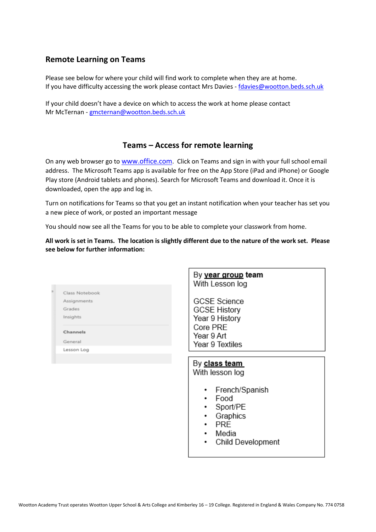#### **Remote Learning on Teams**

Please see below for where your child will find work to complete when they are at home. If you have difficulty accessing the work please contact Mrs Davies - [fdavies@wootton.beds.sch.uk](mailto:fdavies@wootton.beds.sch.uk)

If your child doesn't have a device on which to access the work at home please contact Mr McTernan - [gmcternan@wootton.beds.sch.uk](mailto:gmcternan@wootton.beds.sch.uk)

#### **Teams – Access for remote learning**

On any web browser go to [www.office.com](http://www.office.com/). Click on Teams and sign in with your full school email address. The Microsoft Teams app is available for free on the App Store (iPad and iPhone) or Google Play store (Android tablets and phones). Search for Microsoft Teams and download it. Once it is downloaded, open the app and log in.

Turn on notifications for Teams so that you get an instant notification when your teacher has set you a new piece of work, or posted an important message

You should now see all the Teams for you to be able to complete your classwork from home.

**All work is set in Teams. The location is slightly different due to the nature of the work set. Please see below for further information:**

 $D_{\text{V}}$ 

|                | Dy <u>year group</u> team<br>With Lesson log                                                                                            |
|----------------|-----------------------------------------------------------------------------------------------------------------------------------------|
| Class Notebook |                                                                                                                                         |
| Assignments    | <b>GCSE Science</b>                                                                                                                     |
| Grades         | <b>GCSE History</b>                                                                                                                     |
| Insights       | Year 9 History                                                                                                                          |
|                | Core PRE                                                                                                                                |
| Channels       | Year 9 Art                                                                                                                              |
| General        | Year 9 Textiles                                                                                                                         |
| Lesson Log     |                                                                                                                                         |
|                | By class team<br>With lesson log<br>French/Spanish<br>٠<br>Food<br>٠<br>Sport/PE<br>٠<br>Graphics<br>٠<br><b>PRE</b><br>٠<br>Media<br>٠ |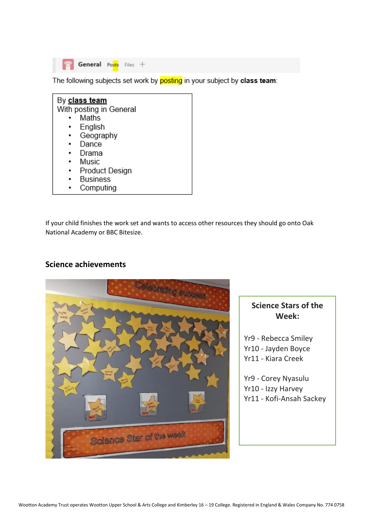

The following subjects set work by posting in your subject by class team:

| By class team           |  |  |
|-------------------------|--|--|
| With posting in General |  |  |
| Maths                   |  |  |
| English                 |  |  |
| Geography               |  |  |
| Dance                   |  |  |
| Drama                   |  |  |
| Music                   |  |  |
| Product Design          |  |  |
| <b>Business</b>         |  |  |
| Computing               |  |  |

If your child finishes the work set and wants to access other resources they should go onto Oak National Academy or BBC Bitesize.

#### **Science achievements**



# **Science Stars of the Week:**

Yr9 - Rebecca Smiley Yr10 - Jayden Boyce Yr11 - Kiara Creek

Yr9 - Corey Nyasulu Yr10 - Izzy Harvey Yr11 - Kofi-Ansah Sackey